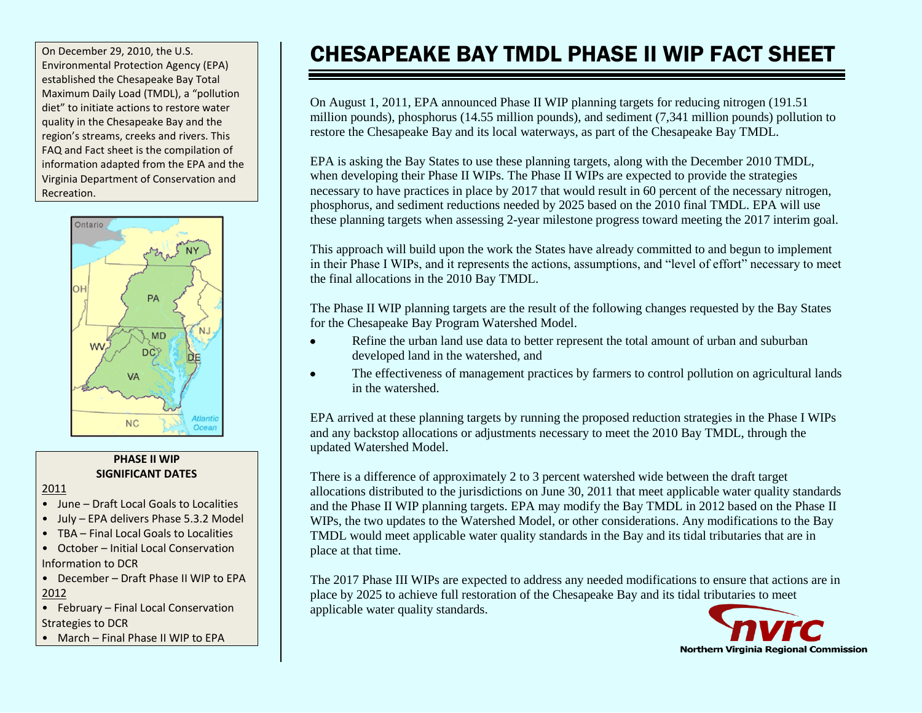On December 29, 2010, the U.S. Environmental Protection Agency (EPA) established the Chesapeake Bay Total Maximum Daily Load (TMDL), a "pollution diet" to initiate actions to restore water quality in the Chesapeake Bay and the region's streams, creeks and rivers. This FAQ and Fact sheet is the compilation of information adapted from the EPA and the Virginia Department of Conservation and Recreation.



#### **PHASE II WIP SIGNIFICANT DATES**

## 2011

- June Draft Local Goals to Localities
- July EPA delivers Phase 5.3.2 Model
- TBA Final Local Goals to Localities
- October Initial Local Conservation Information to DCR
- December Draft Phase II WIP to EPA 2012
- February Final Local Conservation Strategies to DCR
- March Final Phase II WIP to EPA

# CHESAPEAKE BAY TMDL PHASE II WIP FACT SHEET

On August 1, 2011, EPA announced Phase II WIP planning targets for reducing nitrogen (191.51 million pounds), phosphorus (14.55 million pounds), and sediment (7,341 million pounds) pollution to restore the Chesapeake Bay and its local waterways, as part of the Chesapeake Bay TMDL.

EPA is asking the Bay States to use these planning targets, along with the December 2010 TMDL, when developing their Phase II WIPs. The Phase II WIPs are expected to provide the strategies necessary to have practices in place by 2017 that would result in 60 percent of the necessary nitrogen, phosphorus, and sediment reductions needed by 2025 based on the 2010 final TMDL. EPA will use these planning targets when assessing 2-year milestone progress toward meeting the 2017 interim goal.

This approach will build upon the work the States have already committed to and begun to implement in their Phase I WIPs, and it represents the actions, assumptions, and "level of effort" necessary to meet the final allocations in the 2010 Bay TMDL.

The Phase II WIP planning targets are the result of the following changes requested by the Bay States for the Chesapeake Bay Program Watershed Model.

- Refine the urban land use data to better represent the total amount of urban and suburban  $\bullet$ developed land in the watershed, and
- The effectiveness of management practices by farmers to control pollution on agricultural lands  $\bullet$ in the watershed.

EPA arrived at these planning targets by running the proposed reduction strategies in the Phase I WIPs and any backstop allocations or adjustments necessary to meet the 2010 Bay TMDL, through the updated Watershed Model.

There is a difference of approximately 2 to 3 percent watershed wide between the draft target allocations distributed to the jurisdictions on June 30, 2011 that meet applicable water quality standards and the Phase II WIP planning targets. EPA may modify the Bay TMDL in 2012 based on the Phase II WIPs, the two updates to the Watershed Model, or other considerations. Any modifications to the Bay TMDL would meet applicable water quality standards in the Bay and its tidal tributaries that are in place at that time.

The 2017 Phase III WIPs are expected to address any needed modifications to ensure that actions are in place by 2025 to achieve full restoration of the Chesapeake Bay and its tidal tributaries to meet applicable water quality standards.

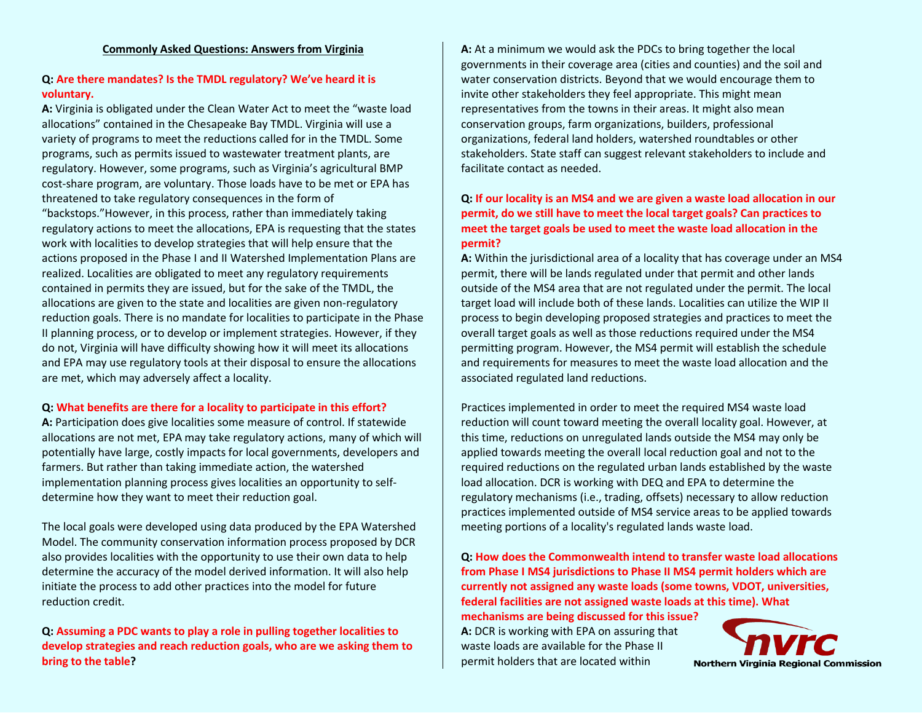## **Q: Are there mandates? Is the TMDL regulatory? We've heard it is voluntary.**

**A:** Virginia is obligated under the Clean Water Act to meet the "waste load allocations" contained in the Chesapeake Bay TMDL. Virginia will use a variety of programs to meet the reductions called for in the TMDL. Some programs, such as permits issued to wastewater treatment plants, are regulatory. However, some programs, such as Virginia's agricultural BMP cost-share program, are voluntary. Those loads have to be met or EPA has threatened to take regulatory consequences in the form of "backstops."However, in this process, rather than immediately taking regulatory actions to meet the allocations, EPA is requesting that the states work with localities to develop strategies that will help ensure that the actions proposed in the Phase I and II Watershed Implementation Plans are realized. Localities are obligated to meet any regulatory requirements contained in permits they are issued, but for the sake of the TMDL, the allocations are given to the state and localities are given non-regulatory reduction goals. There is no mandate for localities to participate in the Phase II planning process, or to develop or implement strategies. However, if they do not, Virginia will have difficulty showing how it will meet its allocations and EPA may use regulatory tools at their disposal to ensure the allocations are met, which may adversely affect a locality.

## **Q: What benefits are there for a locality to participate in this effort?**

**A:** Participation does give localities some measure of control. If statewide allocations are not met, EPA may take regulatory actions, many of which will potentially have large, costly impacts for local governments, developers and farmers. But rather than taking immediate action, the watershed implementation planning process gives localities an opportunity to selfdetermine how they want to meet their reduction goal.

The local goals were developed using data produced by the EPA Watershed Model. The community conservation information process proposed by DCR also provides localities with the opportunity to use their own data to help determine the accuracy of the model derived information. It will also help initiate the process to add other practices into the model for future reduction credit.

**Q: Assuming a PDC wants to play a role in pulling together localities to develop strategies and reach reduction goals, who are we asking them to bring to the table?**

**A:** At a minimum we would ask the PDCs to bring together the local governments in their coverage area (cities and counties) and the soil and water conservation districts. Beyond that we would encourage them to invite other stakeholders they feel appropriate. This might mean representatives from the towns in their areas. It might also mean conservation groups, farm organizations, builders, professional organizations, federal land holders, watershed roundtables or other stakeholders. State staff can suggest relevant stakeholders to include and facilitate contact as needed.

## **Q: If our locality is an MS4 and we are given a waste load allocation in our permit, do we still have to meet the local target goals? Can practices to meet the target goals be used to meet the waste load allocation in the permit?**

**A:** Within the jurisdictional area of a locality that has coverage under an MS4 permit, there will be lands regulated under that permit and other lands outside of the MS4 area that are not regulated under the permit. The local target load will include both of these lands. Localities can utilize the WIP II process to begin developing proposed strategies and practices to meet the overall target goals as well as those reductions required under the MS4 permitting program. However, the MS4 permit will establish the schedule and requirements for measures to meet the waste load allocation and the associated regulated land reductions.

Practices implemented in order to meet the required MS4 waste load reduction will count toward meeting the overall locality goal. However, at this time, reductions on unregulated lands outside the MS4 may only be applied towards meeting the overall local reduction goal and not to the required reductions on the regulated urban lands established by the waste load allocation. DCR is working with DEQ and EPA to determine the regulatory mechanisms (i.e., trading, offsets) necessary to allow reduction practices implemented outside of MS4 service areas to be applied towards meeting portions of a locality's regulated lands waste load.

**Q: How does the Commonwealth intend to transfer waste load allocations from Phase I MS4 jurisdictions to Phase II MS4 permit holders which are currently not assigned any waste loads (some towns, VDOT, universities, federal facilities are not assigned waste loads at this time). What** 

**mechanisms are being discussed for this issue[?](http://www.novaregion.org/index.aspx?nid=1198) A:** DCR is working with EPA on assuring that waste loads are available for the Phase II permit holders that are located within

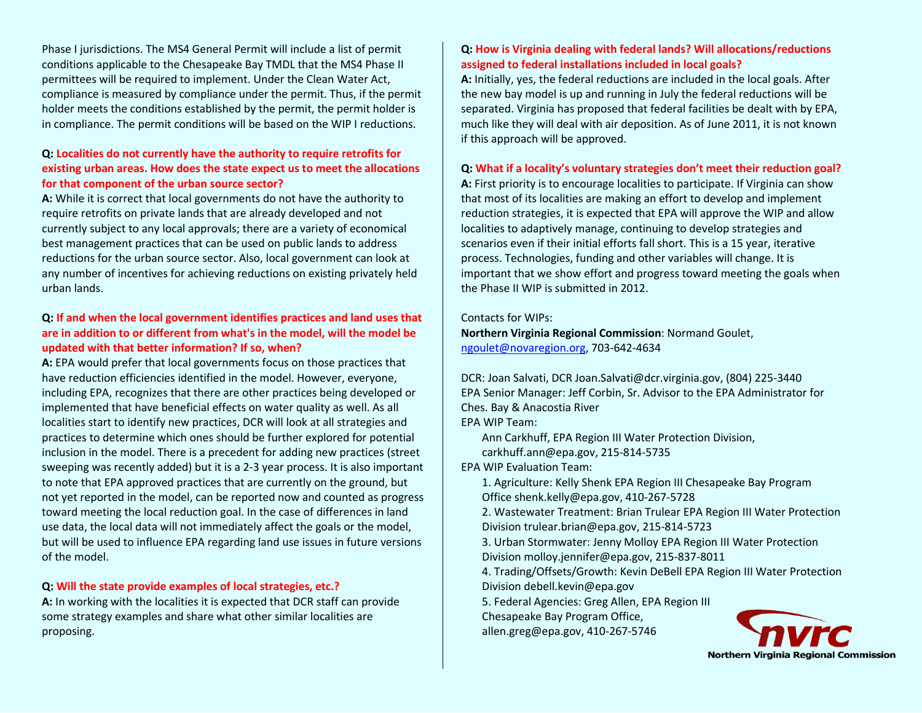Phase I jurisdictions. The MS4 General Permit will include a list of permit conditions applicable to the Chesapeake Bay TMDL that the MS4 Phase II permittees will be required to implement. Under the Clean Water Act, compliance is measured by compliance under the permit. Thus, if the permit holder meets the conditions established by the permit, the permit holder is in compliance. The permit conditions will be based on the WIP I reductions.

## **Q: Localities do not currently have the authority to require retrofits for existing urban areas. How does the state expect us to meet the allocations for that component of the urban source sector?**

**A:** While it is correct that local governments do not have the authority to require retrofits on private lands that are already developed and not currently subject to any local approvals; there are a variety of economical best management practices that can be used on public lands to address reductions for the urban source sector. Also, local government can look at any number of incentives for achieving reductions on existing privately held urban lands.

#### **Q: If and when the local government identifies practices and land uses that are in addition to or different from what's in the model, will the model be updated with that better information? If so, when?**

**A:** EPA would prefer that local governments focus on those practices that have reduction efficiencies identified in the model. However, everyone, including EPA, recognizes that there are other practices being developed or implemented that have beneficial effects on water quality as well. As all localities start to identify new practices, DCR will look at all strategies and practices to determine which ones should be further explored for potential inclusion in the model. There is a precedent for adding new practices (street sweeping was recently added) but it is a 2-3 year process. It is also important to note that EPA approved practices that are currently on the ground, but not yet reported in the model, can be reported now and counted as progress toward meeting the local reduction goal. In the case of differences in land use data, the local data will not immediately affect the goals or the model, but will be used to influence EPA regarding land use issues in future versions of the model.

#### **Q: Will the state provide examples of local strategies, etc.?**

**A:** In working with the localities it is expected that DCR staff can provide some strategy examples and share what other similar localities are proposing.

## **Q: How is Virginia dealing with federal lands? Will allocations/reductions assigned to federal installations included in local goals?**

**A:** Initially, yes, the federal reductions are included in the local goals. After the new bay model is up and running in July the federal reductions will be separated. Virginia has proposed that federal facilities be dealt with by EPA, much like they will deal with air deposition. As of June 2011, it is not known if this approach will be approved.

#### **Q: What if a locality's voluntary strategies don't meet their reduction goal?**

**A:** First priority is to encourage localities to participate. If Virginia can show that most of its localities are making an effort to develop and implement reduction strategies, it is expected that EPA will approve the WIP and allow localities to adaptively manage, continuing to develop strategies and scenarios even if their initial efforts fall short. This is a 15 year, iterative process. Technologies, funding and other variables will change. It is important that we show effort and progress toward meeting the goals when the Phase II WIP is submitted in 2012.

#### Contacts for WIPs:

**Northern Virginia Regional Commission**: Normand Goulet, [ngoulet@novaregion.org,](mailto:ngoulet@novaregion.org) 703-642-4634

DCR: Joan Salvati, DCR Joan.Salvati@dcr.virginia.gov, (804) 225-3440 EPA Senior Manager: Jeff Corbin, Sr. Advisor to the EPA Administrator for Ches. Bay & Anacostia River EPA WIP Team:

Ann Carkhuff, EPA Region III Water Protection Division, carkhuff.ann@epa.gov, 215-814-5735

EPA WIP Evaluation Team:

1. Agriculture: Kelly Shenk EPA Region III Chesapeake Bay Program Office shenk.kelly@epa.gov, 410-267-5728

2. Wastewater Treatment: Brian Trulear EPA Region III Water Protection Division trulear.brian@epa.gov, 215-814-5723

3. Urban Stormwater: Jenny Molloy EPA Region III Water Protection Division molloy.jennifer@epa.gov, 215-837-8011

4. Trading/Offsets/Growth: Kevin DeBell EPA Region III Water Protection Division debell.kevin@epa.gov

5. Federal Agencies: Greg Allen, EPA Region III Chesapeake Bay Program Office, allen.greg@epa.gov, 410-267-5746



**Northern Virginia Regional Commission**